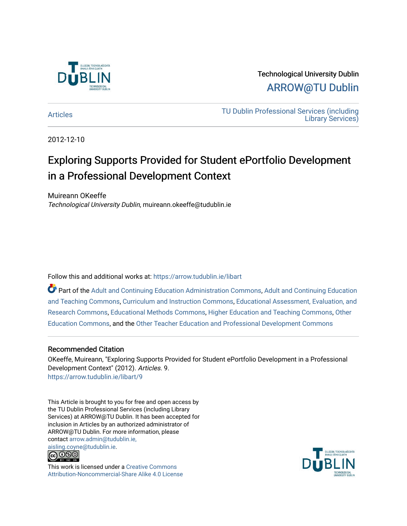

Technological University Dublin [ARROW@TU Dublin](https://arrow.tudublin.ie/) 

[Articles](https://arrow.tudublin.ie/libart) [TU Dublin Professional Services \(including](https://arrow.tudublin.ie/library)  [Library Services\)](https://arrow.tudublin.ie/library) 

2012-12-10

# Exploring Supports Provided for Student ePortfolio Development in a Professional Development Context

Muireann OKeeffe Technological University Dublin, muireann.okeeffe@tudublin.ie

Follow this and additional works at: [https://arrow.tudublin.ie/libart](https://arrow.tudublin.ie/libart?utm_source=arrow.tudublin.ie%2Flibart%2F9&utm_medium=PDF&utm_campaign=PDFCoverPages) 

Part of the [Adult and Continuing Education Administration Commons](http://network.bepress.com/hgg/discipline/789?utm_source=arrow.tudublin.ie%2Flibart%2F9&utm_medium=PDF&utm_campaign=PDFCoverPages), [Adult and Continuing Education](http://network.bepress.com/hgg/discipline/804?utm_source=arrow.tudublin.ie%2Flibart%2F9&utm_medium=PDF&utm_campaign=PDFCoverPages) [and Teaching Commons](http://network.bepress.com/hgg/discipline/804?utm_source=arrow.tudublin.ie%2Flibart%2F9&utm_medium=PDF&utm_campaign=PDFCoverPages), [Curriculum and Instruction Commons](http://network.bepress.com/hgg/discipline/786?utm_source=arrow.tudublin.ie%2Flibart%2F9&utm_medium=PDF&utm_campaign=PDFCoverPages), [Educational Assessment, Evaluation, and](http://network.bepress.com/hgg/discipline/796?utm_source=arrow.tudublin.ie%2Flibart%2F9&utm_medium=PDF&utm_campaign=PDFCoverPages)  [Research Commons,](http://network.bepress.com/hgg/discipline/796?utm_source=arrow.tudublin.ie%2Flibart%2F9&utm_medium=PDF&utm_campaign=PDFCoverPages) [Educational Methods Commons,](http://network.bepress.com/hgg/discipline/1227?utm_source=arrow.tudublin.ie%2Flibart%2F9&utm_medium=PDF&utm_campaign=PDFCoverPages) [Higher Education and Teaching Commons](http://network.bepress.com/hgg/discipline/806?utm_source=arrow.tudublin.ie%2Flibart%2F9&utm_medium=PDF&utm_campaign=PDFCoverPages), [Other](http://network.bepress.com/hgg/discipline/811?utm_source=arrow.tudublin.ie%2Flibart%2F9&utm_medium=PDF&utm_campaign=PDFCoverPages)  [Education Commons,](http://network.bepress.com/hgg/discipline/811?utm_source=arrow.tudublin.ie%2Flibart%2F9&utm_medium=PDF&utm_campaign=PDFCoverPages) and the [Other Teacher Education and Professional Development Commons](http://network.bepress.com/hgg/discipline/810?utm_source=arrow.tudublin.ie%2Flibart%2F9&utm_medium=PDF&utm_campaign=PDFCoverPages)

### Recommended Citation

OKeeffe, Muireann, "Exploring Supports Provided for Student ePortfolio Development in a Professional Development Context" (2012). Articles. 9. [https://arrow.tudublin.ie/libart/9](https://arrow.tudublin.ie/libart/9?utm_source=arrow.tudublin.ie%2Flibart%2F9&utm_medium=PDF&utm_campaign=PDFCoverPages) 

This Article is brought to you for free and open access by the TU Dublin Professional Services (including Library Services) at ARROW@TU Dublin. It has been accepted for inclusion in Articles by an authorized administrator of ARROW@TU Dublin. For more information, please contact [arrow.admin@tudublin.ie,](mailto:arrow.admin@tudublin.ie,%20aisling.coyne@tudublin.ie)  [aisling.coyne@tudublin.ie.](mailto:arrow.admin@tudublin.ie,%20aisling.coyne@tudublin.ie)



This work is licensed under a [Creative Commons](http://creativecommons.org/licenses/by-nc-sa/4.0/) [Attribution-Noncommercial-Share Alike 4.0 License](http://creativecommons.org/licenses/by-nc-sa/4.0/)

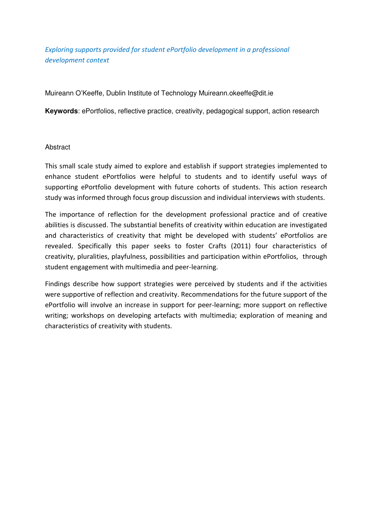Exploring supports provided for student ePortfolio development in a professional development context

Muireann O'Keeffe, Dublin Institute of Technology Muireann.okeeffe@dit.ie

**Keywords**: ePortfolios, reflective practice, creativity, pedagogical support, action research

### Abstract

This small scale study aimed to explore and establish if support strategies implemented to enhance student ePortfolios were helpful to students and to identify useful ways of supporting ePortfolio development with future cohorts of students. This action research study was informed through focus group discussion and individual interviews with students.

The importance of reflection for the development professional practice and of creative abilities is discussed. The substantial benefits of creativity within education are investigated and characteristics of creativity that might be developed with students' ePortfolios are revealed. Specifically this paper seeks to foster Crafts (2011) four characteristics of creativity, pluralities, playfulness, possibilities and participation within ePortfolios, through student engagement with multimedia and peer-learning.

Findings describe how support strategies were perceived by students and if the activities were supportive of reflection and creativity. Recommendations for the future support of the ePortfolio will involve an increase in support for peer-learning; more support on reflective writing; workshops on developing artefacts with multimedia; exploration of meaning and characteristics of creativity with students.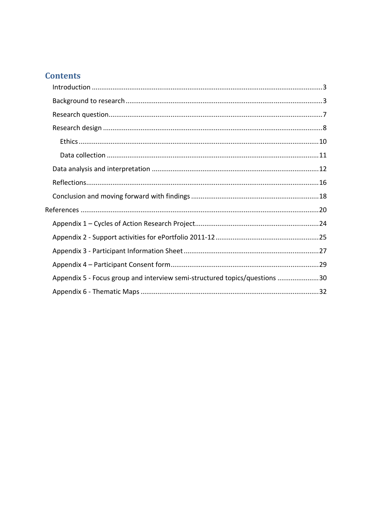# **Contents**

| Appendix 5 - Focus group and interview semi-structured topics/questions 30 |  |
|----------------------------------------------------------------------------|--|
|                                                                            |  |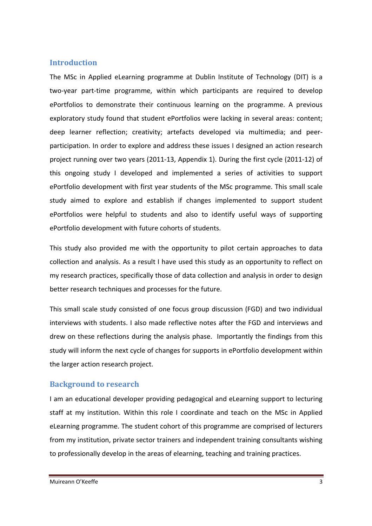# **Introduction**

The MSc in Applied eLearning programme at Dublin Institute of Technology (DIT) is a two-year part-time programme, within which participants are required to develop ePortfolios to demonstrate their continuous learning on the programme. A previous exploratory study found that student ePortfolios were lacking in several areas: content; deep learner reflection; creativity; artefacts developed via multimedia; and peerparticipation. In order to explore and address these issues I designed an action research project running over two years (2011-13, Appendix 1). During the first cycle (2011-12) of this ongoing study I developed and implemented a series of activities to support ePortfolio development with first year students of the MSc programme. This small scale study aimed to explore and establish if changes implemented to support student ePortfolios were helpful to students and also to identify useful ways of supporting ePortfolio development with future cohorts of students.

This study also provided me with the opportunity to pilot certain approaches to data collection and analysis. As a result I have used this study as an opportunity to reflect on my research practices, specifically those of data collection and analysis in order to design better research techniques and processes for the future.

This small scale study consisted of one focus group discussion (FGD) and two individual interviews with students. I also made reflective notes after the FGD and interviews and drew on these reflections during the analysis phase. Importantly the findings from this study will inform the next cycle of changes for supports in ePortfolio development within the larger action research project.

# Background to research

I am an educational developer providing pedagogical and eLearning support to lecturing staff at my institution. Within this role I coordinate and teach on the MSc in Applied eLearning programme. The student cohort of this programme are comprised of lecturers from my institution, private sector trainers and independent training consultants wishing to professionally develop in the areas of elearning, teaching and training practices.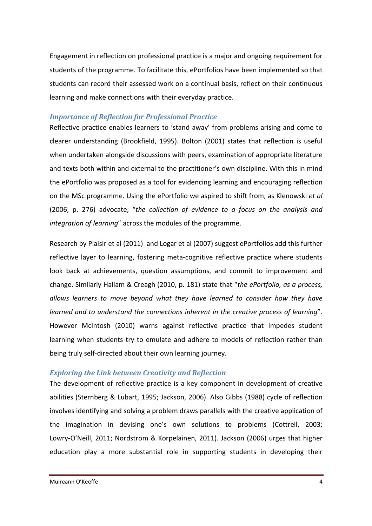Engagement in reflection on professional practice is a major and ongoing requirement for students of the programme. To facilitate this, ePortfolios have been implemented so that students can record their assessed work on a continual basis, reflect on their continuous learning and make connections with their everyday practice.

### Importance of Reflection for Professional Practice

Reflective practice enables learners to 'stand away' from problems arising and come to clearer understanding (Brookfield, 1995). Bolton (2001) states that reflection is useful when undertaken alongside discussions with peers, examination of appropriate literature and texts both within and external to the practitioner's own discipline. With this in mind the ePortfolio was proposed as a tool for evidencing learning and encouraging reflection on the MSc programme. Using the ePortfolio we aspired to shift from, as Klenowski et al (2006, p. 276) advocate, "the collection of evidence to a focus on the analysis and integration of learning" across the modules of the programme.

Research by Plaisir et al (2011) and Logar et al (2007) suggest ePortfolios add this further reflective layer to learning, fostering meta-cognitive reflective practice where students look back at achievements, question assumptions, and commit to improvement and change. Similarly Hallam & Creagh (2010, p. 181) state that "the ePortfolio, as a process, allows learners to move beyond what they have learned to consider how they have learned and to understand the connections inherent in the creative process of learning". However McIntosh (2010) warns against reflective practice that impedes student learning when students try to emulate and adhere to models of reflection rather than being truly self-directed about their own learning journey.

### Exploring the Link between Creativity and Reflection

The development of reflective practice is a key component in development of creative abilities (Sternberg & Lubart, 1995; Jackson, 2006). Also Gibbs (1988) cycle of reflection involves identifying and solving a problem draws parallels with the creative application of the imagination in devising one's own solutions to problems (Cottrell, 2003; Lowry-O'Neill, 2011; Nordstrom & Korpelainen, 2011). Jackson (2006) urges that higher education play a more substantial role in supporting students in developing their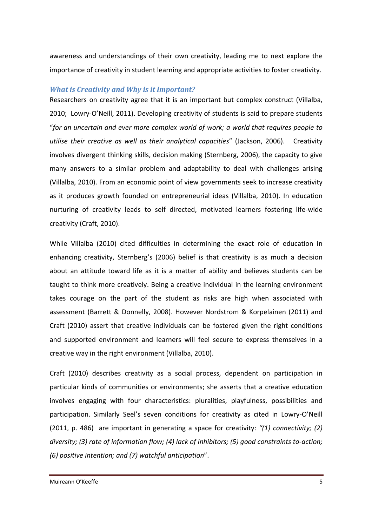awareness and understandings of their own creativity, leading me to next explore the importance of creativity in student learning and appropriate activities to foster creativity.

### What is Creativity and Why is it Important?

Researchers on creativity agree that it is an important but complex construct (Villalba, 2010; Lowry-O'Neill, 2011). Developing creativity of students is said to prepare students "for an uncertain and ever more complex world of work; a world that requires people to utilise their creative as well as their analytical capacities" (Jackson, 2006). Creativity involves divergent thinking skills, decision making (Sternberg, 2006), the capacity to give many answers to a similar problem and adaptability to deal with challenges arising (Villalba, 2010). From an economic point of view governments seek to increase creativity as it produces growth founded on entrepreneurial ideas (Villalba, 2010). In education nurturing of creativity leads to self directed, motivated learners fostering life-wide creativity (Craft, 2010).

While Villalba (2010) cited difficulties in determining the exact role of education in enhancing creativity, Sternberg's (2006) belief is that creativity is as much a decision about an attitude toward life as it is a matter of ability and believes students can be taught to think more creatively. Being a creative individual in the learning environment takes courage on the part of the student as risks are high when associated with assessment (Barrett & Donnelly, 2008). However Nordstrom & Korpelainen (2011) and Craft (2010) assert that creative individuals can be fostered given the right conditions and supported environment and learners will feel secure to express themselves in a creative way in the right environment (Villalba, 2010).

Craft (2010) describes creativity as a social process, dependent on participation in particular kinds of communities or environments; she asserts that a creative education involves engaging with four characteristics: pluralities, playfulness, possibilities and participation. Similarly Seel's seven conditions for creativity as cited in Lowry-O'Neill (2011, p. 486) are important in generating a space for creativity: "(1) connectivity; (2) diversity; (3) rate of information flow; (4) lack of inhibitors; (5) good constraints to-action; (6) positive intention; and (7) watchful anticipation".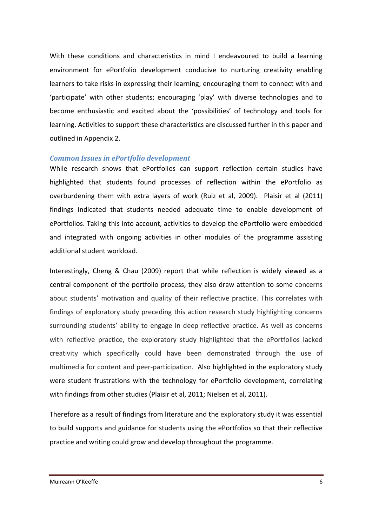With these conditions and characteristics in mind I endeavoured to build a learning environment for ePortfolio development conducive to nurturing creativity enabling learners to take risks in expressing their learning; encouraging them to connect with and 'participate' with other students; encouraging 'play' with diverse technologies and to become enthusiastic and excited about the 'possibilities' of technology and tools for learning. Activities to support these characteristics are discussed further in this paper and outlined in Appendix 2.

#### Common Issues in ePortfolio development

While research shows that ePortfolios can support reflection certain studies have highlighted that students found processes of reflection within the ePortfolio as overburdening them with extra layers of work (Ruiz et al, 2009). Plaisir et al (2011) findings indicated that students needed adequate time to enable development of ePortfolios. Taking this into account, activities to develop the ePortfolio were embedded and integrated with ongoing activities in other modules of the programme assisting additional student workload.

Interestingly, Cheng & Chau (2009) report that while reflection is widely viewed as a central component of the portfolio process, they also draw attention to some concerns about students' motivation and quality of their reflective practice. This correlates with findings of exploratory study preceding this action research study highlighting concerns surrounding students' ability to engage in deep reflective practice. As well as concerns with reflective practice, the exploratory study highlighted that the ePortfolios lacked creativity which specifically could have been demonstrated through the use of multimedia for content and peer-participation. Also highlighted in the exploratory study were student frustrations with the technology for ePortfolio development, correlating with findings from other studies (Plaisir et al, 2011; Nielsen et al, 2011).

Therefore as a result of findings from literature and the exploratory study it was essential to build supports and guidance for students using the ePortfolios so that their reflective practice and writing could grow and develop throughout the programme.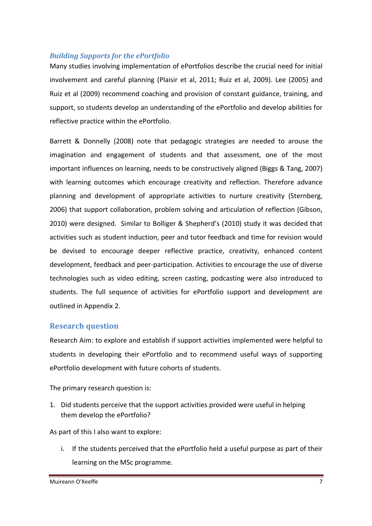# Building Supports for the ePortfolio

Many studies involving implementation of ePortfolios describe the crucial need for initial involvement and careful planning (Plaisir et al, 2011; Ruiz et al, 2009). Lee (2005) and Ruiz et al (2009) recommend coaching and provision of constant guidance, training, and support, so students develop an understanding of the ePortfolio and develop abilities for reflective practice within the ePortfolio.

Barrett & Donnelly (2008) note that pedagogic strategies are needed to arouse the imagination and engagement of students and that assessment, one of the most important influences on learning, needs to be constructively aligned (Biggs & Tang, 2007) with learning outcomes which encourage creativity and reflection. Therefore advance planning and development of appropriate activities to nurture creativity (Sternberg, 2006) that support collaboration, problem solving and articulation of reflection (Gibson, 2010) were designed. Similar to Bolliger & Shepherd's (2010) study it was decided that activities such as student induction, peer and tutor feedback and time for revision would be devised to encourage deeper reflective practice, creativity, enhanced content development, feedback and peer-participation. Activities to encourage the use of diverse technologies such as video editing, screen casting, podcasting were also introduced to students. The full sequence of activities for ePortfolio support and development are outlined in Appendix 2.

# Research question

Research Aim: to explore and establish if support activities implemented were helpful to students in developing their ePortfolio and to recommend useful ways of supporting ePortfolio development with future cohorts of students.

The primary research question is:

1. Did students perceive that the support activities provided were useful in helping them develop the ePortfolio?

As part of this I also want to explore:

i. If the students perceived that the ePortfolio held a useful purpose as part of their learning on the MSc programme.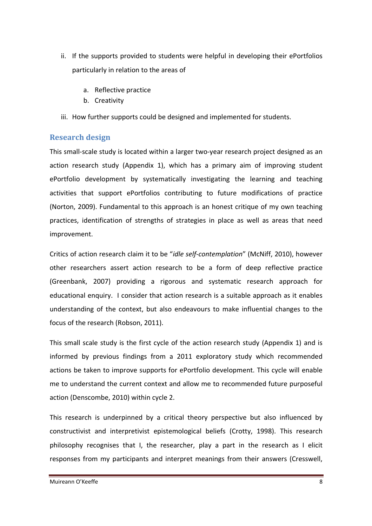- ii. If the supports provided to students were helpful in developing their ePortfolios particularly in relation to the areas of
	- a. Reflective practice
	- b. Creativity
- iii. How further supports could be designed and implemented for students.

# Research design

This small-scale study is located within a larger two-year research project designed as an action research study (Appendix 1), which has a primary aim of improving student ePortfolio development by systematically investigating the learning and teaching activities that support ePortfolios contributing to future modifications of practice (Norton, 2009). Fundamental to this approach is an honest critique of my own teaching practices, identification of strengths of strategies in place as well as areas that need improvement.

Critics of action research claim it to be "idle self-contemplation" (McNiff, 2010), however other researchers assert action research to be a form of deep reflective practice (Greenbank, 2007) providing a rigorous and systematic research approach for educational enquiry. I consider that action research is a suitable approach as it enables understanding of the context, but also endeavours to make influential changes to the focus of the research (Robson, 2011).

This small scale study is the first cycle of the action research study (Appendix 1) and is informed by previous findings from a 2011 exploratory study which recommended actions be taken to improve supports for ePortfolio development. This cycle will enable me to understand the current context and allow me to recommended future purposeful action (Denscombe, 2010) within cycle 2.

This research is underpinned by a critical theory perspective but also influenced by constructivist and interpretivist epistemological beliefs (Crotty, 1998). This research philosophy recognises that I, the researcher, play a part in the research as I elicit responses from my participants and interpret meanings from their answers (Cresswell,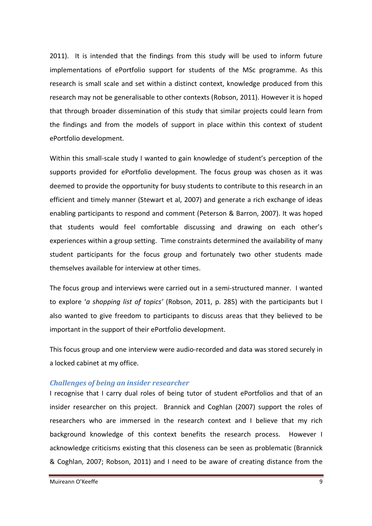2011). It is intended that the findings from this study will be used to inform future implementations of ePortfolio support for students of the MSc programme. As this research is small scale and set within a distinct context, knowledge produced from this research may not be generalisable to other contexts (Robson, 2011). However it is hoped that through broader dissemination of this study that similar projects could learn from the findings and from the models of support in place within this context of student ePortfolio development.

Within this small-scale study I wanted to gain knowledge of student's perception of the supports provided for ePortfolio development. The focus group was chosen as it was deemed to provide the opportunity for busy students to contribute to this research in an efficient and timely manner (Stewart et al, 2007) and generate a rich exchange of ideas enabling participants to respond and comment (Peterson & Barron, 2007). It was hoped that students would feel comfortable discussing and drawing on each other's experiences within a group setting. Time constraints determined the availability of many student participants for the focus group and fortunately two other students made themselves available for interview at other times.

The focus group and interviews were carried out in a semi-structured manner. I wanted to explore 'a shopping list of topics' (Robson, 2011, p. 285) with the participants but I also wanted to give freedom to participants to discuss areas that they believed to be important in the support of their ePortfolio development.

This focus group and one interview were audio-recorded and data was stored securely in a locked cabinet at my office.

### Challenges of being an insider researcher

I recognise that I carry dual roles of being tutor of student ePortfolios and that of an insider researcher on this project. Brannick and Coghlan (2007) support the roles of researchers who are immersed in the research context and I believe that my rich background knowledge of this context benefits the research process. However I acknowledge criticisms existing that this closeness can be seen as problematic (Brannick & Coghlan, 2007; Robson, 2011) and I need to be aware of creating distance from the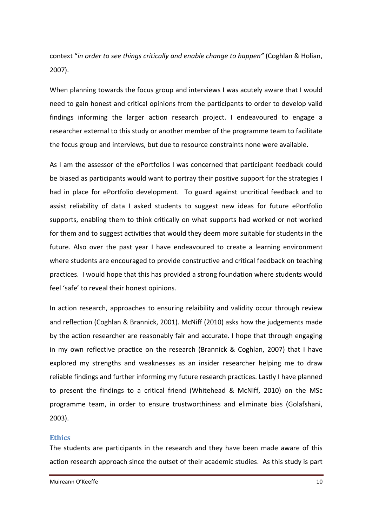context "in order to see things critically and enable change to happen" (Coghlan & Holian, 2007).

When planning towards the focus group and interviews I was acutely aware that I would need to gain honest and critical opinions from the participants to order to develop valid findings informing the larger action research project. I endeavoured to engage a researcher external to this study or another member of the programme team to facilitate the focus group and interviews, but due to resource constraints none were available.

As I am the assessor of the ePortfolios I was concerned that participant feedback could be biased as participants would want to portray their positive support for the strategies I had in place for ePortfolio development. To guard against uncritical feedback and to assist reliability of data I asked students to suggest new ideas for future ePortfolio supports, enabling them to think critically on what supports had worked or not worked for them and to suggest activities that would they deem more suitable for students in the future. Also over the past year I have endeavoured to create a learning environment where students are encouraged to provide constructive and critical feedback on teaching practices. I would hope that this has provided a strong foundation where students would feel 'safe' to reveal their honest opinions.

In action research, approaches to ensuring relaibility and validity occur through review and reflection (Coghlan & Brannick, 2001). McNiff (2010) asks how the judgements made by the action researcher are reasonably fair and accurate. I hope that through engaging in my own reflective practice on the research (Brannick & Coghlan, 2007) that I have explored my strengths and weaknesses as an insider researcher helping me to draw reliable findings and further informing my future research practices. Lastly I have planned to present the findings to a critical friend (Whitehead & McNiff, 2010) on the MSc programme team, in order to ensure trustworthiness and eliminate bias (Golafshani, 2003).

### **Ethics**

The students are participants in the research and they have been made aware of this action research approach since the outset of their academic studies. As this study is part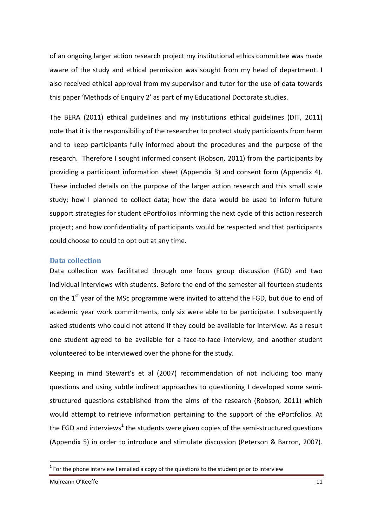of an ongoing larger action research project my institutional ethics committee was made aware of the study and ethical permission was sought from my head of department. I also received ethical approval from my supervisor and tutor for the use of data towards this paper 'Methods of Enquiry 2' as part of my Educational Doctorate studies.

The BERA (2011) ethical guidelines and my institutions ethical guidelines (DIT, 2011) note that it is the responsibility of the researcher to protect study participants from harm and to keep participants fully informed about the procedures and the purpose of the research. Therefore I sought informed consent (Robson, 2011) from the participants by providing a participant information sheet (Appendix 3) and consent form (Appendix 4). These included details on the purpose of the larger action research and this small scale study; how I planned to collect data; how the data would be used to inform future support strategies for student ePortfolios informing the next cycle of this action research project; and how confidentiality of participants would be respected and that participants could choose to could to opt out at any time.

#### Data collection

Data collection was facilitated through one focus group discussion (FGD) and two individual interviews with students. Before the end of the semester all fourteen students on the  $1<sup>st</sup>$  year of the MSc programme were invited to attend the FGD, but due to end of academic year work commitments, only six were able to be participate. I subsequently asked students who could not attend if they could be available for interview. As a result one student agreed to be available for a face-to-face interview, and another student volunteered to be interviewed over the phone for the study.

Keeping in mind Stewart's et al (2007) recommendation of not including too many questions and using subtle indirect approaches to questioning I developed some semistructured questions established from the aims of the research (Robson, 2011) which would attempt to retrieve information pertaining to the support of the ePortfolios. At the FGD and interviews<sup>1</sup> the students were given copies of the semi-structured questions (Appendix 5) in order to introduce and stimulate discussion (Peterson & Barron, 2007).

l

 $1$  For the phone interview I emailed a copy of the questions to the student prior to interview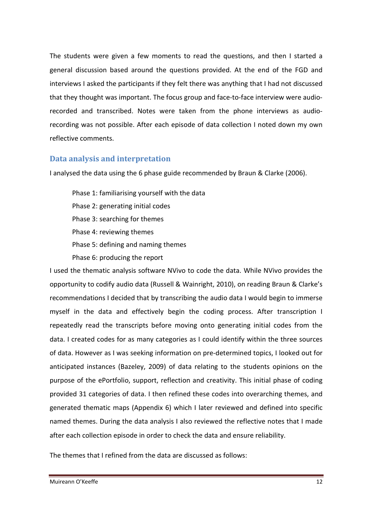The students were given a few moments to read the questions, and then I started a general discussion based around the questions provided. At the end of the FGD and interviews I asked the participants if they felt there was anything that I had not discussed that they thought was important. The focus group and face-to-face interview were audiorecorded and transcribed. Notes were taken from the phone interviews as audiorecording was not possible. After each episode of data collection I noted down my own reflective comments.

# Data analysis and interpretation

I analysed the data using the 6 phase guide recommended by Braun & Clarke (2006).

Phase 1: familiarising yourself with the data Phase 2: generating initial codes Phase 3: searching for themes Phase 4: reviewing themes Phase 5: defining and naming themes Phase 6: producing the report

I used the thematic analysis software NVivo to code the data. While NVivo provides the opportunity to codify audio data (Russell & Wainright, 2010), on reading Braun & Clarke's recommendations I decided that by transcribing the audio data I would begin to immerse myself in the data and effectively begin the coding process. After transcription I repeatedly read the transcripts before moving onto generating initial codes from the data. I created codes for as many categories as I could identify within the three sources of data. However as I was seeking information on pre-determined topics, I looked out for anticipated instances (Bazeley, 2009) of data relating to the students opinions on the purpose of the ePortfolio, support, reflection and creativity. This initial phase of coding provided 31 categories of data. I then refined these codes into overarching themes, and generated thematic maps (Appendix 6) which I later reviewed and defined into specific named themes. During the data analysis I also reviewed the reflective notes that I made after each collection episode in order to check the data and ensure reliability.

The themes that I refined from the data are discussed as follows: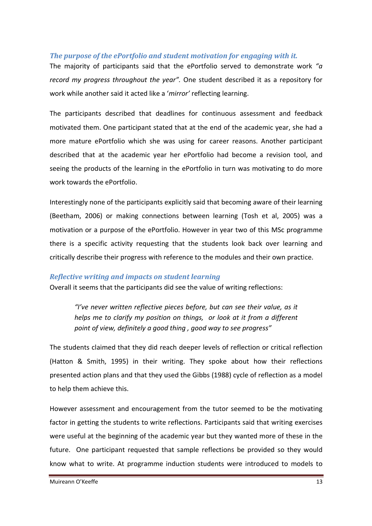# The purpose of the ePortfolio and student motivation for engaging with it.

The majority of participants said that the ePortfolio served to demonstrate work " $a$ record my progress throughout the year". One student described it as a repository for work while another said it acted like a 'mirror' reflecting learning.

The participants described that deadlines for continuous assessment and feedback motivated them. One participant stated that at the end of the academic year, she had a more mature ePortfolio which she was using for career reasons. Another participant described that at the academic year her ePortfolio had become a revision tool, and seeing the products of the learning in the ePortfolio in turn was motivating to do more work towards the ePortfolio.

Interestingly none of the participants explicitly said that becoming aware of their learning (Beetham, 2006) or making connections between learning (Tosh et al, 2005) was a motivation or a purpose of the ePortfolio. However in year two of this MSc programme there is a specific activity requesting that the students look back over learning and critically describe their progress with reference to the modules and their own practice.

### Reflective writing and impacts on student learning

Overall it seems that the participants did see the value of writing reflections:

"I've never written reflective pieces before, but can see their value, as it helps me to clarify my position on things, or look at it from a different point of view, definitely a good thing , good way to see progress"

The students claimed that they did reach deeper levels of reflection or critical reflection (Hatton & Smith, 1995) in their writing. They spoke about how their reflections presented action plans and that they used the Gibbs (1988) cycle of reflection as a model to help them achieve this.

However assessment and encouragement from the tutor seemed to be the motivating factor in getting the students to write reflections. Participants said that writing exercises were useful at the beginning of the academic year but they wanted more of these in the future. One participant requested that sample reflections be provided so they would know what to write. At programme induction students were introduced to models to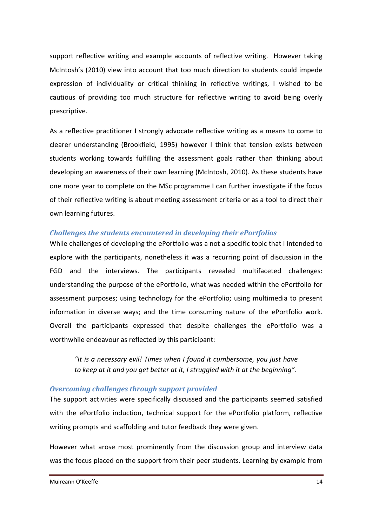support reflective writing and example accounts of reflective writing. However taking McIntosh's (2010) view into account that too much direction to students could impede expression of individuality or critical thinking in reflective writings, I wished to be cautious of providing too much structure for reflective writing to avoid being overly prescriptive.

As a reflective practitioner I strongly advocate reflective writing as a means to come to clearer understanding (Brookfield, 1995) however I think that tension exists between students working towards fulfilling the assessment goals rather than thinking about developing an awareness of their own learning (McIntosh, 2010). As these students have one more year to complete on the MSc programme I can further investigate if the focus of their reflective writing is about meeting assessment criteria or as a tool to direct their own learning futures.

### Challenges the students encountered in developing their ePortfolios

While challenges of developing the ePortfolio was a not a specific topic that I intended to explore with the participants, nonetheless it was a recurring point of discussion in the FGD and the interviews. The participants revealed multifaceted challenges: understanding the purpose of the ePortfolio, what was needed within the ePortfolio for assessment purposes; using technology for the ePortfolio; using multimedia to present information in diverse ways; and the time consuming nature of the ePortfolio work. Overall the participants expressed that despite challenges the ePortfolio was a worthwhile endeavour as reflected by this participant:

"It is a necessary evil! Times when I found it cumbersome, you just have to keep at it and you get better at it, I struggled with it at the beginning".

# Overcoming challenges through support provided

The support activities were specifically discussed and the participants seemed satisfied with the ePortfolio induction, technical support for the ePortfolio platform, reflective writing prompts and scaffolding and tutor feedback they were given.

However what arose most prominently from the discussion group and interview data was the focus placed on the support from their peer students. Learning by example from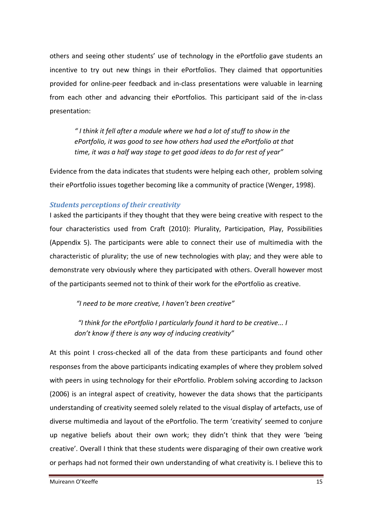others and seeing other students' use of technology in the ePortfolio gave students an incentive to try out new things in their ePortfolios. They claimed that opportunities provided for online-peer feedback and in-class presentations were valuable in learning from each other and advancing their ePortfolios. This participant said of the in-class presentation:

" I think it fell after a module where we had a lot of stuff to show in the ePortfolio, it was good to see how others had used the ePortfolio at that time, it was a half way stage to get good ideas to do for rest of year"

Evidence from the data indicates that students were helping each other, problem solving their ePortfolio issues together becoming like a community of practice (Wenger, 1998).

# Students perceptions of their creativity

I asked the participants if they thought that they were being creative with respect to the four characteristics used from Craft (2010): Plurality, Participation, Play, Possibilities (Appendix 5). The participants were able to connect their use of multimedia with the characteristic of plurality; the use of new technologies with play; and they were able to demonstrate very obviously where they participated with others. Overall however most of the participants seemed not to think of their work for the ePortfolio as creative.

"I need to be more creative, I haven't been creative"

 "I think for the ePortfolio I particularly found it hard to be creative... I don't know if there is any way of inducing creativity"

At this point I cross-checked all of the data from these participants and found other responses from the above participants indicating examples of where they problem solved with peers in using technology for their ePortfolio. Problem solving according to Jackson (2006) is an integral aspect of creativity, however the data shows that the participants understanding of creativity seemed solely related to the visual display of artefacts, use of diverse multimedia and layout of the ePortfolio. The term 'creativity' seemed to conjure up negative beliefs about their own work; they didn't think that they were 'being creative'. Overall I think that these students were disparaging of their own creative work or perhaps had not formed their own understanding of what creativity is. I believe this to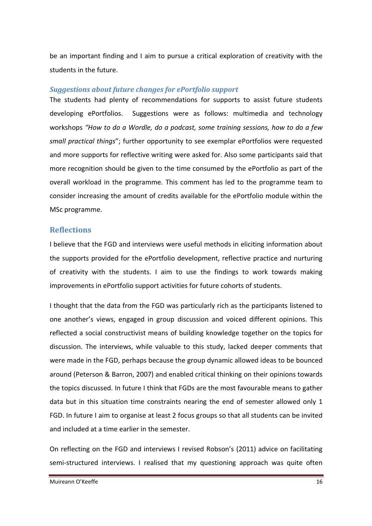be an important finding and I aim to pursue a critical exploration of creativity with the students in the future.

### Suggestions about future changes for ePortfolio support

The students had plenty of recommendations for supports to assist future students developing ePortfolios. Suggestions were as follows: multimedia and technology workshops "How to do a Wordle, do a podcast, some training sessions, how to do a few small practical things"; further opportunity to see exemplar ePortfolios were requested and more supports for reflective writing were asked for. Also some participants said that more recognition should be given to the time consumed by the ePortfolio as part of the overall workload in the programme. This comment has led to the programme team to consider increasing the amount of credits available for the ePortfolio module within the MSc programme.

# **Reflections**

I believe that the FGD and interviews were useful methods in eliciting information about the supports provided for the ePortfolio development, reflective practice and nurturing of creativity with the students. I aim to use the findings to work towards making improvements in ePortfolio support activities for future cohorts of students.

I thought that the data from the FGD was particularly rich as the participants listened to one another's views, engaged in group discussion and voiced different opinions. This reflected a social constructivist means of building knowledge together on the topics for discussion. The interviews, while valuable to this study, lacked deeper comments that were made in the FGD, perhaps because the group dynamic allowed ideas to be bounced around (Peterson & Barron, 2007) and enabled critical thinking on their opinions towards the topics discussed. In future I think that FGDs are the most favourable means to gather data but in this situation time constraints nearing the end of semester allowed only 1 FGD. In future I aim to organise at least 2 focus groups so that all students can be invited and included at a time earlier in the semester.

On reflecting on the FGD and interviews I revised Robson's (2011) advice on facilitating semi-structured interviews. I realised that my questioning approach was quite often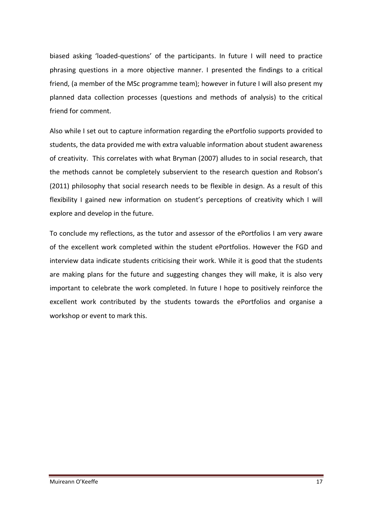biased asking 'loaded-questions' of the participants. In future I will need to practice phrasing questions in a more objective manner. I presented the findings to a critical friend, (a member of the MSc programme team); however in future I will also present my planned data collection processes (questions and methods of analysis) to the critical friend for comment.

Also while I set out to capture information regarding the ePortfolio supports provided to students, the data provided me with extra valuable information about student awareness of creativity. This correlates with what Bryman (2007) alludes to in social research, that the methods cannot be completely subservient to the research question and Robson's (2011) philosophy that social research needs to be flexible in design. As a result of this flexibility I gained new information on student's perceptions of creativity which I will explore and develop in the future.

To conclude my reflections, as the tutor and assessor of the ePortfolios I am very aware of the excellent work completed within the student ePortfolios. However the FGD and interview data indicate students criticising their work. While it is good that the students are making plans for the future and suggesting changes they will make, it is also very important to celebrate the work completed. In future I hope to positively reinforce the excellent work contributed by the students towards the ePortfolios and organise a workshop or event to mark this.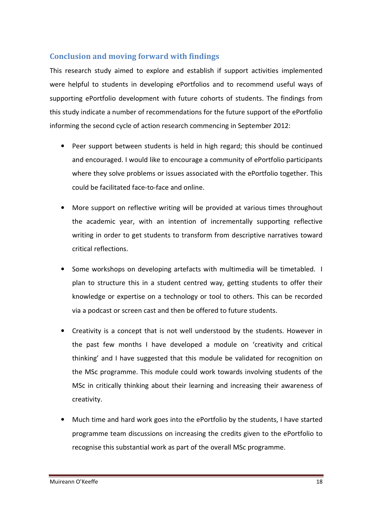# Conclusion and moving forward with findings

This research study aimed to explore and establish if support activities implemented were helpful to students in developing ePortfolios and to recommend useful ways of supporting ePortfolio development with future cohorts of students. The findings from this study indicate a number of recommendations for the future support of the ePortfolio informing the second cycle of action research commencing in September 2012:

- Peer support between students is held in high regard; this should be continued and encouraged. I would like to encourage a community of ePortfolio participants where they solve problems or issues associated with the ePortfolio together. This could be facilitated face-to-face and online.
- More support on reflective writing will be provided at various times throughout the academic year, with an intention of incrementally supporting reflective writing in order to get students to transform from descriptive narratives toward critical reflections.
- Some workshops on developing artefacts with multimedia will be timetabled. I plan to structure this in a student centred way, getting students to offer their knowledge or expertise on a technology or tool to others. This can be recorded via a podcast or screen cast and then be offered to future students.
- Creativity is a concept that is not well understood by the students. However in the past few months I have developed a module on 'creativity and critical thinking' and I have suggested that this module be validated for recognition on the MSc programme. This module could work towards involving students of the MSc in critically thinking about their learning and increasing their awareness of creativity.
- Much time and hard work goes into the ePortfolio by the students, I have started programme team discussions on increasing the credits given to the ePortfolio to recognise this substantial work as part of the overall MSc programme.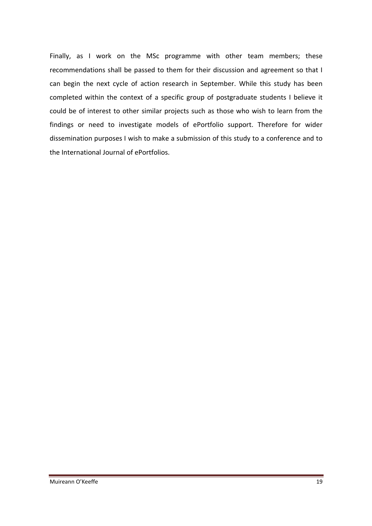Finally, as I work on the MSc programme with other team members; these recommendations shall be passed to them for their discussion and agreement so that I can begin the next cycle of action research in September. While this study has been completed within the context of a specific group of postgraduate students I believe it could be of interest to other similar projects such as those who wish to learn from the findings or need to investigate models of ePortfolio support. Therefore for wider dissemination purposes I wish to make a submission of this study to a conference and to the International Journal of ePortfolios.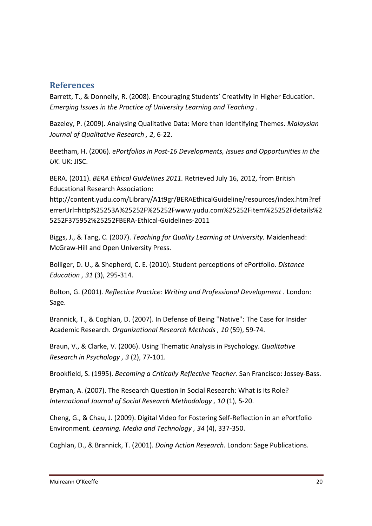# **References**

Barrett, T., & Donnelly, R. (2008). Encouraging Students' Creativity in Higher Education. Emerging Issues in the Practice of University Learning and Teaching .

Bazeley, P. (2009). Analysing Qualitative Data: More than Identifying Themes. Malaysian Journal of Qualitative Research , 2, 6-22.

Beetham, H. (2006). ePortfolios in Post-16 Developments, Issues and Opportunities in the UK. UK: JISC.

BERA. (2011). BERA Ethical Guidelines 2011. Retrieved July 16, 2012, from British Educational Research Association:

http://content.yudu.com/Library/A1t9gr/BERAEthicalGuideline/resources/index.htm?ref errerUrl=http%25253A%25252F%25252Fwww.yudu.com%25252Fitem%25252Fdetails%2 5252F375952%25252FBERA-Ethical-Guidelines-2011

Biggs, J., & Tang, C. (2007). Teaching for Quality Learning at University. Maidenhead: McGraw-Hill and Open University Press.

Bolliger, D. U., & Shepherd, C. E. (2010). Student perceptions of ePortfolio. Distance Education , 31 (3), 295-314.

Bolton, G. (2001). Reflectice Practice: Writing and Professional Development . London: Sage.

Brannick, T., & Coghlan, D. (2007). In Defense of Being ''Native'': The Case for Insider Academic Research. Organizational Research Methods , 10 (59), 59-74.

Braun, V., & Clarke, V. (2006). Using Thematic Analysis in Psychology. Qualitative Research in Psychology , 3 (2), 77-101.

Brookfield, S. (1995). Becoming a Critically Reflective Teacher. San Francisco: Jossey-Bass.

Bryman, A. (2007). The Research Question in Social Research: What is its Role? International Journal of Social Research Methodology , 10 (1), 5-20.

Cheng, G., & Chau, J. (2009). Digital Video for Fostering Self-Reflection in an ePortfolio Environment. Learning, Media and Technology , 34 (4), 337-350.

Coghlan, D., & Brannick, T. (2001). Doing Action Research. London: Sage Publications.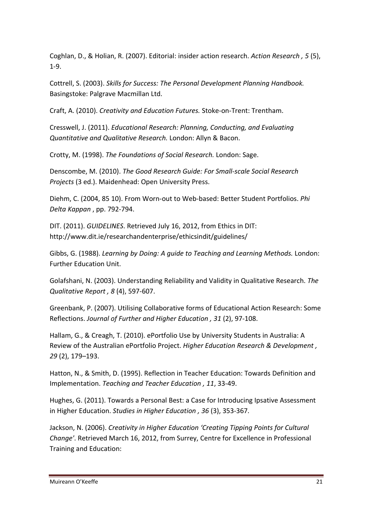Coghlan, D., & Holian, R. (2007). Editorial: insider action research. Action Research, 5 (5), 1-9.

Cottrell, S. (2003). Skills for Success: The Personal Development Planning Handbook. Basingstoke: Palgrave Macmillan Ltd.

Craft, A. (2010). Creativity and Education Futures. Stoke-on-Trent: Trentham.

Cresswell, J. (2011). Educational Research: Planning, Conducting, and Evaluating Quantitative and Qualitative Research. London: Allyn & Bacon.

Crotty, M. (1998). The Foundations of Social Research. London: Sage.

Denscombe, M. (2010). The Good Research Guide: For Small-scale Social Research Projects (3 ed.). Maidenhead: Open University Press.

Diehm, C. (2004, 85 10). From Worn-out to Web-based: Better Student Portfolios. Phi Delta Kappan , pp. 792-794.

DIT. (2011). GUIDELINES. Retrieved July 16, 2012, from Ethics in DIT: http://www.dit.ie/researchandenterprise/ethicsindit/guidelines/

Gibbs, G. (1988). Learning by Doing: A guide to Teaching and Learning Methods. London: Further Education Unit.

Golafshani, N. (2003). Understanding Reliability and Validity in Qualitative Research. The Qualitative Report , 8 (4), 597-607.

Greenbank, P. (2007). Utilising Collaborative forms of Educational Action Research: Some Reflections. Journal of Further and Higher Education , 31 (2), 97-108.

Hallam, G., & Creagh, T. (2010). ePortfolio Use by University Students in Australia: A Review of the Australian ePortfolio Project. Higher Education Research & Development , 29 (2), 179–193.

Hatton, N., & Smith, D. (1995). Reflection in Teacher Education: Towards Definition and Implementation. Teaching and Teacher Education , 11, 33-49.

Hughes, G. (2011). Towards a Personal Best: a Case for Introducing Ipsative Assessment in Higher Education. Studies in Higher Education , 36 (3), 353-367.

Jackson, N. (2006). Creativity in Higher Education 'Creating Tipping Points for Cultural Change'. Retrieved March 16, 2012, from Surrey, Centre for Excellence in Professional Training and Education: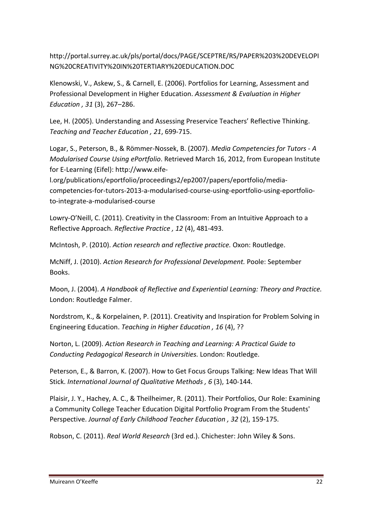http://portal.surrey.ac.uk/pls/portal/docs/PAGE/SCEPTRE/RS/PAPER%203%20DEVELOPI NG%20CREATIVITY%20IN%20TERTIARY%20EDUCATION.DOC

Klenowski, V., Askew, S., & Carnell, E. (2006). Portfolios for Learning, Assessment and Professional Development in Higher Education. Assessment & Evaluation in Higher Education , 31 (3), 267–286.

Lee, H. (2005). Understanding and Assessing Preservice Teachers' Reflective Thinking. Teaching and Teacher Education , 21, 699-715.

Logar, S., Peterson, B., & Römmer-Nossek, B. (2007). Media Competencies for Tutors - A Modularised Course Using ePortfolio. Retrieved March 16, 2012, from European Institute for E-Learning (Eifel): http://www.eife-

l.org/publications/eportfolio/proceedings2/ep2007/papers/eportfolio/mediacompetencies-for-tutors-2013-a-modularised-course-using-eportfolio-using-eportfolioto-integrate-a-modularised-course

Lowry-O'Neill, C. (2011). Creativity in the Classroom: From an Intuitive Approach to a Reflective Approach. Reflective Practice , 12 (4), 481-493.

McIntosh, P. (2010). Action research and reflective practice. Oxon: Routledge.

McNiff, J. (2010). Action Research for Professional Development. Poole: September Books.

Moon, J. (2004). A Handbook of Reflective and Experiential Learning: Theory and Practice. London: Routledge Falmer.

Nordstrom, K., & Korpelainen, P. (2011). Creativity and Inspiration for Problem Solving in Engineering Education. Teaching in Higher Education , 16 (4), ??

Norton, L. (2009). Action Research in Teaching and Learning: A Practical Guide to Conducting Pedagogical Research in Universities. London: Routledge.

Peterson, E., & Barron, K. (2007). How to Get Focus Groups Talking: New Ideas That Will Stick. International Journal of Qualitative Methods , 6 (3), 140-144.

Plaisir, J. Y., Hachey, A. C., & Theilheimer, R. (2011). Their Portfolios, Our Role: Examining a Community College Teacher Education Digital Portfolio Program From the Students' Perspective. Journal of Early Childhood Teacher Education , 32 (2), 159-175.

Robson, C. (2011). Real World Research (3rd ed.). Chichester: John Wiley & Sons.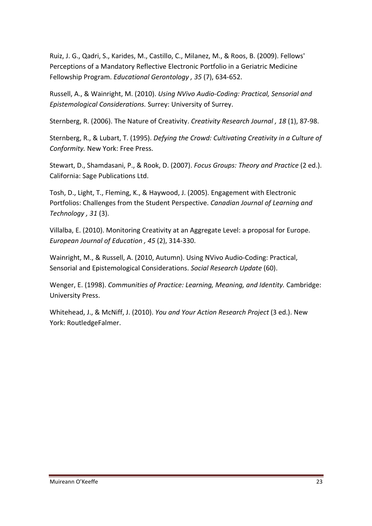Ruiz, J. G., Qadri, S., Karides, M., Castillo, C., Milanez, M., & Roos, B. (2009). Fellows' Perceptions of a Mandatory Reflective Electronic Portfolio in a Geriatric Medicine Fellowship Program. Educational Gerontology , 35 (7), 634-652.

Russell, A., & Wainright, M. (2010). Using NVivo Audio-Coding: Practical, Sensorial and Epistemological Considerations. Surrey: University of Surrey.

Sternberg, R. (2006). The Nature of Creativity. Creativity Research Journal , 18 (1), 87-98.

Sternberg, R., & Lubart, T. (1995). Defying the Crowd: Cultivating Creativity in a Culture of Conformity. New York: Free Press.

Stewart, D., Shamdasani, P., & Rook, D. (2007). Focus Groups: Theory and Practice (2 ed.). California: Sage Publications Ltd.

Tosh, D., Light, T., Fleming, K., & Haywood, J. (2005). Engagement with Electronic Portfolios: Challenges from the Student Perspective. Canadian Journal of Learning and Technology , 31 (3).

Villalba, E. (2010). Monitoring Creativity at an Aggregate Level: a proposal for Europe. European Journal of Education , 45 (2), 314-330.

Wainright, M., & Russell, A. (2010, Autumn). Using NVivo Audio-Coding: Practical, Sensorial and Epistemological Considerations. Social Research Update (60).

Wenger, E. (1998). Communities of Practice: Learning, Meaning, and Identity. Cambridge: University Press.

Whitehead, J., & McNiff, J. (2010). You and Your Action Research Project (3 ed.). New York: RoutledgeFalmer.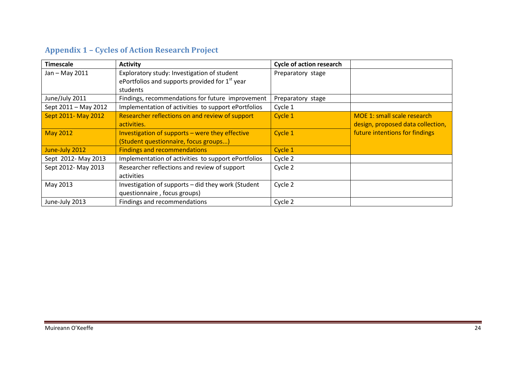# Appendix 1 – Cycles of Action Research Project

| <b>Timescale</b>     | <b>Activity</b>                                            | <b>Cycle of action research</b> |                                   |
|----------------------|------------------------------------------------------------|---------------------------------|-----------------------------------|
| Jan - May 2011       | Exploratory study: Investigation of student                | Preparatory stage               |                                   |
|                      | ePortfolios and supports provided for 1 <sup>st</sup> year |                                 |                                   |
|                      | students                                                   |                                 |                                   |
| June/July 2011       | Findings, recommendations for future improvement           | Preparatory stage               |                                   |
| Sept 2011 - May 2012 | Implementation of activities to support ePortfolios        | Cycle 1                         |                                   |
| Sept 2011- May 2012  | Researcher reflections on and review of support            | Cycle 1                         | MOE 1: small scale research       |
|                      | activities.                                                |                                 | design, proposed data collection, |
| <b>May 2012</b>      | Investigation of supports - were they effective            | Cycle 1                         | future intentions for findings    |
|                      | (Student questionnaire, focus groups)                      |                                 |                                   |
| June-July 2012       | <b>Findings and recommendations</b>                        | Cycle 1                         |                                   |
| Sept 2012- May 2013  | Implementation of activities to support ePortfolios        | Cycle 2                         |                                   |
| Sept 2012- May 2013  | Researcher reflections and review of support               | Cycle 2                         |                                   |
|                      | activities                                                 |                                 |                                   |
| May 2013             | Investigation of supports - did they work (Student         | Cycle 2                         |                                   |
|                      | questionnaire, focus groups)                               |                                 |                                   |
| June-July 2013       | Findings and recommendations                               | Cycle 2                         |                                   |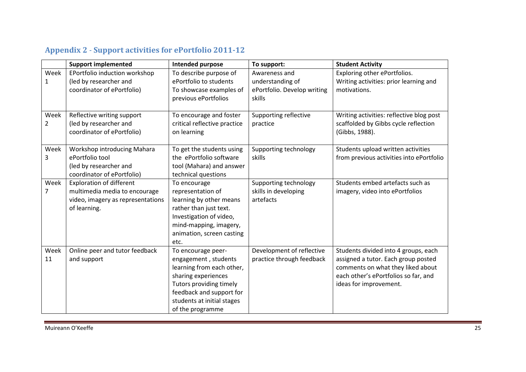|                | <b>Support implemented</b>        | Intended purpose             | To support:                 | <b>Student Activity</b>                  |
|----------------|-----------------------------------|------------------------------|-----------------------------|------------------------------------------|
| Week           | EPortfolio induction workshop     | To describe purpose of       | Awareness and               | Exploring other ePortfolios.             |
| 1              | (led by researcher and            | ePortfolio to students       | understanding of            | Writing activities: prior learning and   |
|                | coordinator of ePortfolio)        | To showcase examples of      | ePortfolio. Develop writing | motivations.                             |
|                |                                   | previous ePortfolios         | skills                      |                                          |
|                |                                   |                              |                             |                                          |
| Week           | Reflective writing support        | To encourage and foster      | Supporting reflective       | Writing activities: reflective blog post |
| 2              | (led by researcher and            | critical reflective practice | practice                    | scaffolded by Gibbs cycle reflection     |
|                | coordinator of ePortfolio)        | on learning                  |                             | (Gibbs, 1988).                           |
|                |                                   |                              |                             |                                          |
| Week           | Workshop introducing Mahara       | To get the students using    | Supporting technology       | Students upload written activities       |
| 3              | ePortfolio tool                   | the ePortfolio software      | skills                      | from previous activities into ePortfolio |
|                | (led by researcher and            | tool (Mahara) and answer     |                             |                                          |
|                | coordinator of ePortfolio)        | technical questions          |                             |                                          |
| Week           | <b>Exploration of different</b>   | To encourage                 | Supporting technology       | Students embed artefacts such as         |
| $\overline{7}$ | multimedia media to encourage     | representation of            | skills in developing        | imagery, video into ePortfolios          |
|                | video, imagery as representations | learning by other means      | artefacts                   |                                          |
|                | of learning.                      | rather than just text.       |                             |                                          |
|                |                                   | Investigation of video,      |                             |                                          |
|                |                                   | mind-mapping, imagery,       |                             |                                          |
|                |                                   | animation, screen casting    |                             |                                          |
|                |                                   | etc.                         |                             |                                          |
| Week           | Online peer and tutor feedback    | To encourage peer-           | Development of reflective   | Students divided into 4 groups, each     |
| 11             | and support                       | engagement, students         | practice through feedback   | assigned a tutor. Each group posted      |
|                |                                   | learning from each other,    |                             | comments on what they liked about        |
|                |                                   | sharing experiences          |                             | each other's ePortfolios so far, and     |
|                |                                   | Tutors providing timely      |                             | ideas for improvement.                   |
|                |                                   | feedback and support for     |                             |                                          |
|                |                                   | students at initial stages   |                             |                                          |
|                |                                   | of the programme             |                             |                                          |

# Appendix 2 - Support activities for ePortfolio 2011-12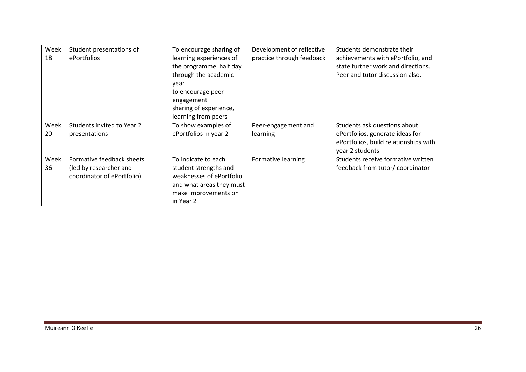| Week<br>18 | Student presentations of<br>ePortfolios | To encourage sharing of<br>learning experiences of<br>the programme half day<br>through the academic<br>year | Development of reflective<br>practice through feedback | Students demonstrate their<br>achievements with ePortfolio, and<br>state further work and directions.<br>Peer and tutor discussion also. |
|------------|-----------------------------------------|--------------------------------------------------------------------------------------------------------------|--------------------------------------------------------|------------------------------------------------------------------------------------------------------------------------------------------|
|            |                                         | to encourage peer-<br>engagement<br>sharing of experience,<br>learning from peers                            |                                                        |                                                                                                                                          |
| Week       | Students invited to Year 2              | To show examples of                                                                                          | Peer-engagement and                                    | Students ask questions about                                                                                                             |
| 20         | presentations                           | ePortfolios in year 2                                                                                        | learning                                               | ePortfolios, generate ideas for<br>ePortfolios, build relationships with<br>year 2 students                                              |
| Week       | Formative feedback sheets               | To indicate to each                                                                                          | Formative learning                                     | Students receive formative written                                                                                                       |
| 36         | (led by researcher and                  | student strengths and                                                                                        |                                                        | feedback from tutor/ coordinator                                                                                                         |
|            | coordinator of ePortfolio)              | weaknesses of ePortfolio                                                                                     |                                                        |                                                                                                                                          |
|            |                                         | and what areas they must                                                                                     |                                                        |                                                                                                                                          |
|            |                                         | make improvements on                                                                                         |                                                        |                                                                                                                                          |
|            |                                         | in Year 2                                                                                                    |                                                        |                                                                                                                                          |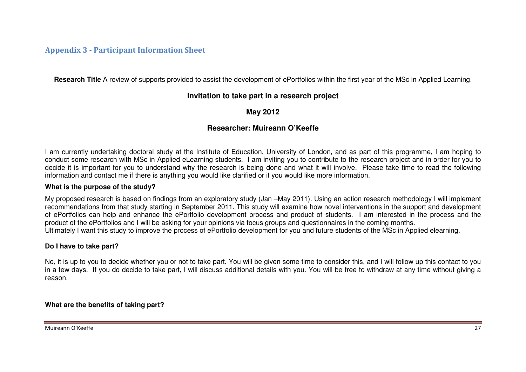# Appendix 3 - Participant Information Sheet

**Research Title** A review of supports provided to assist the development of ePortfolios within the first year of the MSc in Applied Learning.

# **Invitation to take part in a research project**

# **May 2012**

# **Researcher: Muireann O'Keeffe**

I am currently undertaking doctoral study at the Institute of Education, University of London, and as part of this programme, I am hoping to conduct some research with MSc in Applied eLearning students. I am inviting you to contribute to the research project and in order for you to decide it is important for you to understand why the research is being done and what it will involve. Please take time to read the following information and contact me if there is anything you would like clarified or if you would like more information.

#### **What is the purpose of the study?**

My proposed research is based on findings from an exploratory study (Jan –May 2011). Using an action research methodology I will implement recommendations from that study starting in September 2011. This study will examine how novel interventions in the support and development of ePortfolios can help and enhance the ePortfolio development process and product of students. I am interested in the process and the product of the ePortfolios and I will be asking for your opinions via focus groups and questionnaires in the coming months. Ultimately I want this study to improve the process of ePortfolio development for you and future students of the MSc in Applied elearning.

### **Do I have to take part?**

No, it is up to you to decide whether you or not to take part. You will be given some time to consider this, and I will follow up this contact to you in a few days. If you do decide to take part, I will discuss additional details with you. You will be free to withdraw at any time without giving a reason.

**What are the benefits of taking part?**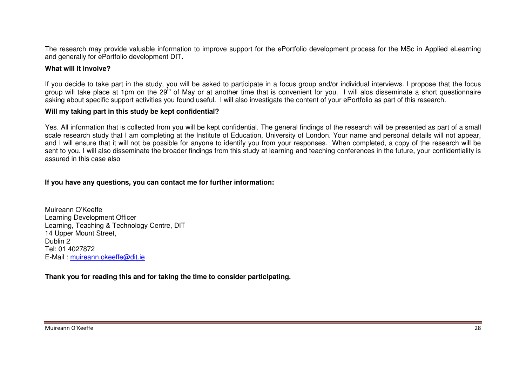The research may provide valuable information to improve support for the ePortfolio development process for the MSc in Applied eLearning and generally for ePortfolio development DIT.

### **What will it involve?**

If you decide to take part in the study, you will be asked to participate in a focus group and/or individual interviews. I propose that the focus group will take place at 1pm on the 29<sup>th</sup> of May or at another time that is convenient for you. I will alos disseminate a short questionnaire asking about specific support activities you found useful. I will also investigate the content of your ePortfolio as part of this research.

#### **Will my taking part in this study be kept confidential?**

Yes. All information that is collected from you will be kept confidential. The general findings of the research will be presented as part of a small scale research study that I am completing at the Institute of Education, University of London. Your name and personal details will not appear, and I will ensure that it will not be possible for anyone to identify you from your responses. When completed, a copy of the research will be sent to you. I will also disseminate the broader findings from this study at learning and teaching conferences in the future, your confidentiality is assured in this case also

#### **If you have any questions, you can contact me for further information:**

Muireann O'Keeffe Learning Development Officer Learning, Teaching & Technology Centre, DIT 14 Upper Mount Street, Dublin 2 Tel: 01 4027872 E-Mail : muireann.okeeffe@dit.ie

**Thank you for reading this and for taking the time to consider participating.**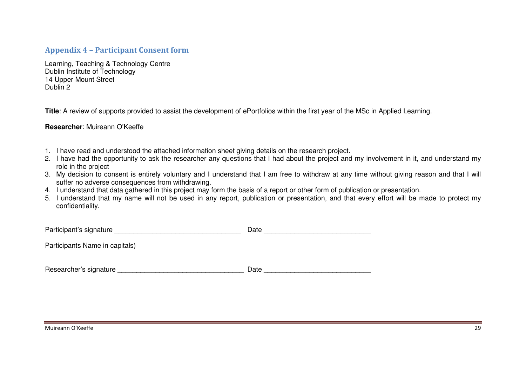## Appendix 4 – Participant Consent form

Learning, Teaching & Technology Centre Dublin Institute of Technology 14 Upper Mount Street Dublin 2

**Title**: A review of supports provided to assist the development of ePortfolios within the first year of the MSc in Applied Learning.

#### **Researcher**: Muireann O'Keeffe

- 1. I have read and understood the attached information sheet giving details on the research project.
- 2. I have had the opportunity to ask the researcher any questions that I had about the project and my involvement in it, and understand my role in the project
- 3. My decision to consent is entirely voluntary and I understand that I am free to withdraw at any time without giving reason and that I will suffer no adverse consequences from withdrawing.
- 4. I understand that data gathered in this project may form the basis of a report or other form of publication or presentation.
- 5. I understand that my name will not be used in any report, publication or presentation, and that every effort will be made to protect my confidentiality.

| Participant's signature        | Date |
|--------------------------------|------|
| Participants Name in capitals) |      |
|                                |      |
| Researcher's signature         | Date |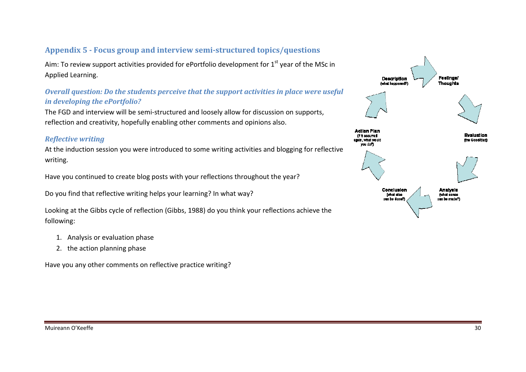# Appendix 5 - Focus group and interview semi-structured topics/questions

Aim: To review support activities provided for ePortfolio development for 1<sup>st</sup> year of the MSc in Applied Learning.

# Overall question: Do the students perceive that the support activities in place were useful in developing the ePortfolio?

The FGD and interview will be semi-structured and loosely allow for discussion on supports, reflection and creativity, hopefully enabling other comments and opinions also.

# Reflective writing

reflection and creativity, hopefully enabling other comments and opinions also.<br>*Reflective writing*<br>At the induction session you were introduced to some writing activities and blogging for reflective writing.

Have you continued to create blog posts with your reflections throughout the year?

Do you find that reflective writing helps your learning? In what way?

Have you continued to create blog posts with your reflections throughout the year?<br>Do you find that reflective writing helps your learning? In what way?<br>Looking at the Gibbs cycle of reflection (Gibbs, 1988) do you think y following:

- 1. Analysis or evaluation phase
- 2. the action planning phase

Have you any other comments on reflective practice writing?

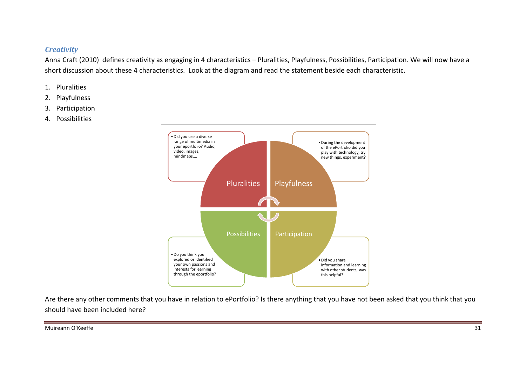### **Creativity**

Anna Craft (2010) defines creativity as engaging in 4 characteristics – Pluralities, Playfulness, Possibilities, Participation. We will now have a short discussion about these 4 characteristics. Look at the diagram and read the statement beside each characteristic.

- 1. Pluralities
- 2. Playfulness
- 3. Participation
- 4. Possibilities



Are there any other comments that you have in relation to ePortfolio? Is there anything that you have not been asked that you think that you should have been included here?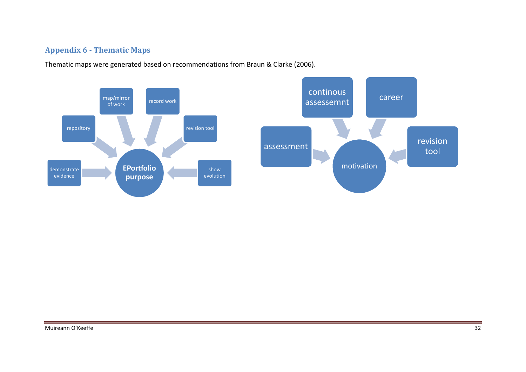# Appendix 6 - Thematic Maps

Thematic maps were generated based on recommendations from Braun & Clarke (2006).

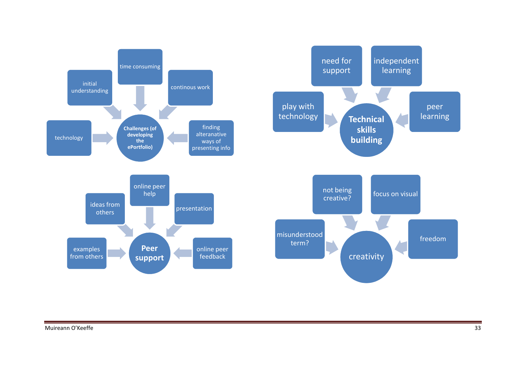